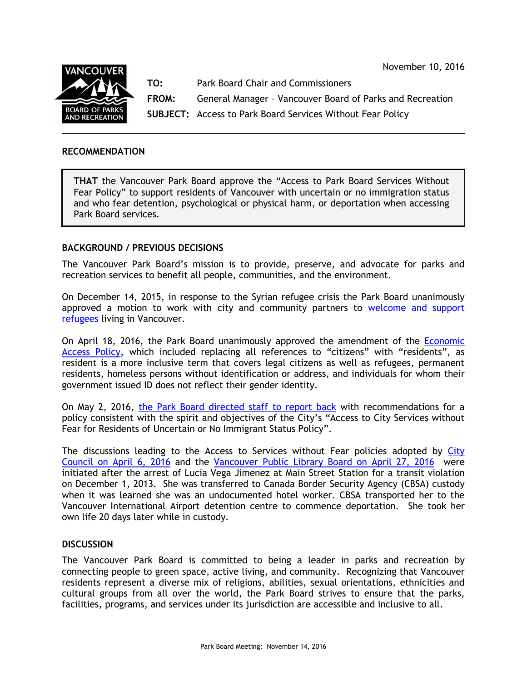November 10, 2016



**TO:** Park Board Chair and Commissioners

**FROM:** General Manager – Vancouver Board of Parks and Recreation

**SUBJECT:** Access to Park Board Services Without Fear Policy

# **RECOMMENDATION**

**THAT** the Vancouver Park Board approve the "Access to Park Board Services Without Fear Policy" to support residents of Vancouver with uncertain or no immigration status and who fear detention, psychological or physical harm, or deportation when accessing Park Board services.

# **BACKGROUND / PREVIOUS DECISIONS**

The Vancouver Park Board's mission is to provide, preserve, and advocate for parks and recreation services to benefit all people, communities, and the environment.

On December 14, 2015, in response to the Syrian refugee crisis the Park Board unanimously approved a motion to work with city and community partners to welcome and support [refugees](http://parkboardmeetings.vancouver.ca/2015/20151214/MOTION-DECISION-RefugeeSupport-2015-12-14.pdf) living in Vancouver.

On April 18, 2016, the Park Board unanimously approved the amendment of the [Economic](http://parkboardmeetings.vancouver.ca/2016/20160418/REPORT-EconomicAcccesPolicyLAP-update-20160418.pdf)  [Access Policy,](http://parkboardmeetings.vancouver.ca/2016/20160418/REPORT-EconomicAcccesPolicyLAP-update-20160418.pdf) which included replacing all references to "citizens" with "residents", as resident is a more inclusive term that covers legal citizens as well as refugees, permanent residents, homeless persons without identification or address, and individuals for whom their government issued ID does not reflect their gender identity.

On May 2, 2016, [the Park Board directed staff to report back](http://parkboardmeetings.vancouver.ca/2016/20160502/MOTIONDECISION-AccesstoParkBoardServicesWithoutFear-20160502.pdf) with recommendations for a policy consistent with the spirit and objectives of the City's "Access to City Services without Fear for Residents of Uncertain or No Immigrant Status Policy".

The discussions leading to the Access to Services without Fear policies adopted by City [Council on April 6, 2016](http://council.vancouver.ca/20160406/documents/pspc3.pdf) and the [Vancouver Public Library Board on April 27, 2016](https://www.vpl.ca/policy/access-vancouver-public-library-services-without-fear-policy) were initiated after the arrest of Lucia Vega Jimenez at Main Street Station for a transit violation on December 1, 2013. She was transferred to Canada Border Security Agency (CBSA) custody when it was learned she was an undocumented hotel worker. CBSA transported her to the Vancouver International Airport detention centre to commence deportation. She took her own life 20 days later while in custody.

# **DISCUSSION**

The Vancouver Park Board is committed to being a leader in parks and recreation by connecting people to green space, active living, and community. Recognizing that Vancouver residents represent a diverse mix of religions, abilities, sexual orientations, ethnicities and cultural groups from all over the world, the Park Board strives to ensure that the parks, facilities, programs, and services under its jurisdiction are accessible and inclusive to all.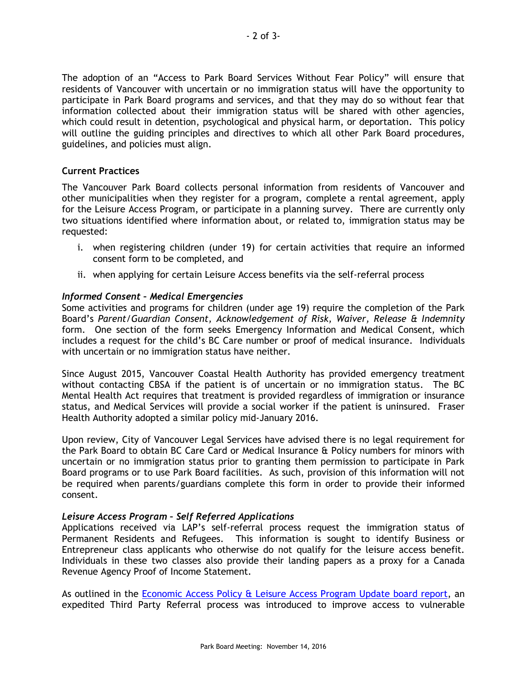The adoption of an "Access to Park Board Services Without Fear Policy" will ensure that residents of Vancouver with uncertain or no immigration status will have the opportunity to participate in Park Board programs and services, and that they may do so without fear that information collected about their immigration status will be shared with other agencies, which could result in detention, psychological and physical harm, or deportation. This policy will outline the guiding principles and directives to which all other Park Board procedures, guidelines, and policies must align.

#### **Current Practices**

The Vancouver Park Board collects personal information from residents of Vancouver and other municipalities when they register for a program, complete a rental agreement, apply for the Leisure Access Program, or participate in a planning survey. There are currently only two situations identified where information about, or related to, immigration status may be requested:

- i. when registering children (under 19) for certain activities that require an informed consent form to be completed, and
- ii. when applying for certain Leisure Access benefits via the self-referral process

# *Informed Consent – Medical Emergencies*

Some activities and programs for children (under age 19) require the completion of the Park Board's *Parent/Guardian Consent, Acknowledgement of Risk, Waiver, Release & Indemnity* form. One section of the form seeks Emergency Information and Medical Consent, which includes a request for the child's BC Care number or proof of medical insurance. Individuals with uncertain or no immigration status have neither.

Since August 2015, Vancouver Coastal Health Authority has provided emergency treatment without contacting CBSA if the patient is of uncertain or no immigration status. The BC Mental Health Act requires that treatment is provided regardless of immigration or insurance status, and Medical Services will provide a social worker if the patient is uninsured. Fraser Health Authority adopted a similar policy mid-January 2016.

Upon review, City of Vancouver Legal Services have advised there is no legal requirement for the Park Board to obtain BC Care Card or Medical Insurance & Policy numbers for minors with uncertain or no immigration status prior to granting them permission to participate in Park Board programs or to use Park Board facilities. As such, provision of this information will not be required when parents/guardians complete this form in order to provide their informed consent.

# *Leisure Access Program – Self Referred Applications*

Applications received via LAP's self-referral process request the immigration status of Permanent Residents and Refugees. This information is sought to identify Business or Entrepreneur class applicants who otherwise do not qualify for the leisure access benefit. Individuals in these two classes also provide their landing papers as a proxy for a Canada Revenue Agency Proof of Income Statement.

As outlined in the [Economic Access Policy & Leisure Access Program Update](http://parkboardmeetings.vancouver.ca/2016/20160418/REPORT-EconomicAcccesPolicyLAP-update-20160418.pdf) board report, an expedited Third Party Referral process was introduced to improve access to vulnerable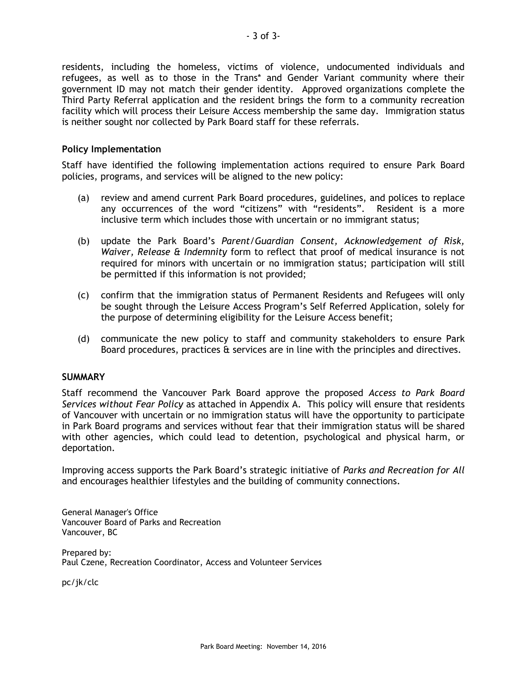residents, including the homeless, victims of violence, undocumented individuals and refugees, as well as to those in the Trans\* and Gender Variant community where their government ID may not match their gender identity. Approved organizations complete the Third Party Referral application and the resident brings the form to a community recreation facility which will process their Leisure Access membership the same day. Immigration status is neither sought nor collected by Park Board staff for these referrals.

## **Policy Implementation**

Staff have identified the following implementation actions required to ensure Park Board policies, programs, and services will be aligned to the new policy:

- (a) review and amend current Park Board procedures, guidelines, and polices to replace any occurrences of the word "citizens" with "residents". Resident is a more inclusive term which includes those with uncertain or no immigrant status;
- (b) update the Park Board's *Parent/Guardian Consent, Acknowledgement of Risk, Waiver, Release & Indemnity* form to reflect that proof of medical insurance is not required for minors with uncertain or no immigration status; participation will still be permitted if this information is not provided;
- (c) confirm that the immigration status of Permanent Residents and Refugees will only be sought through the Leisure Access Program's Self Referred Application, solely for the purpose of determining eligibility for the Leisure Access benefit;
- (d) communicate the new policy to staff and community stakeholders to ensure Park Board procedures, practices & services are in line with the principles and directives.

#### **SUMMARY**

Staff recommend the Vancouver Park Board approve the proposed *Access to Park Board Services without Fear Policy* as attached in Appendix A. This policy will ensure that residents of Vancouver with uncertain or no immigration status will have the opportunity to participate in Park Board programs and services without fear that their immigration status will be shared with other agencies, which could lead to detention, psychological and physical harm, or deportation.

Improving access supports the Park Board's strategic initiative of *Parks and Recreation for All* and encourages healthier lifestyles and the building of community connections.

General Manager's Office Vancouver Board of Parks and Recreation Vancouver, BC

Prepared by: Paul Czene, Recreation Coordinator, Access and Volunteer Services

pc/jk/clc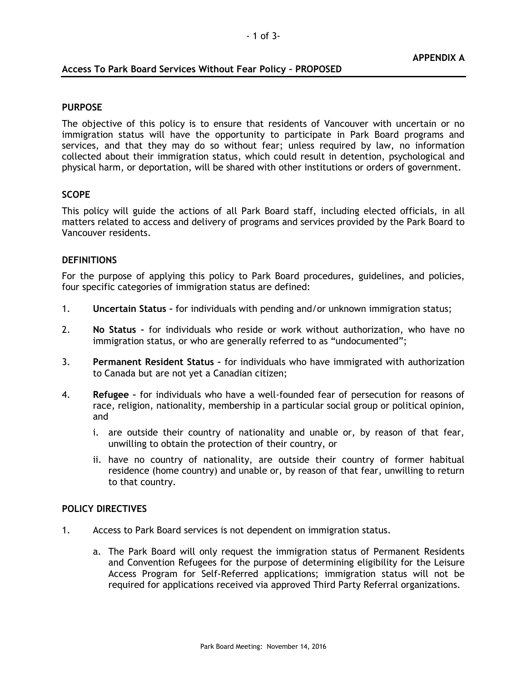## **Access To Park Board Services Without Fear Policy – PROPOSED**

#### **PURPOSE**

The objective of this policy is to ensure that residents of Vancouver with uncertain or no immigration status will have the opportunity to participate in Park Board programs and services, and that they may do so without fear; unless required by law, no information collected about their immigration status, which could result in detention, psychological and physical harm, or deportation, will be shared with other institutions or orders of government.

## **SCOPE**

This policy will guide the actions of all Park Board staff, including elected officials, in all matters related to access and delivery of programs and services provided by the Park Board to Vancouver residents.

## **DEFINITIONS**

For the purpose of applying this policy to Park Board procedures, guidelines, and policies, four specific categories of immigration status are defined:

- 1. **Uncertain Status –** for individuals with pending and/or unknown immigration status;
- 2. **No Status –** for individuals who reside or work without authorization, who have no immigration status, or who are generally referred to as "undocumented";
- 3. **Permanent Resident Status –** for individuals who have immigrated with authorization to Canada but are not yet a Canadian citizen;
- 4. **Refugee –** for individuals who have a well-founded fear of persecution for reasons of race, religion, nationality, membership in a particular social group or political opinion, and
	- i. are outside their country of nationality and unable or, by reason of that fear, unwilling to obtain the protection of their country, or
	- ii. have no country of nationality, are outside their country of former habitual residence (home country) and unable or, by reason of that fear, unwilling to return to that country.

#### **POLICY DIRECTIVES**

- 1. Access to Park Board services is not dependent on immigration status.
	- a. The Park Board will only request the immigration status of Permanent Residents and Convention Refugees for the purpose of determining eligibility for the Leisure Access Program for Self-Referred applications; immigration status will not be required for applications received via approved Third Party Referral organizations.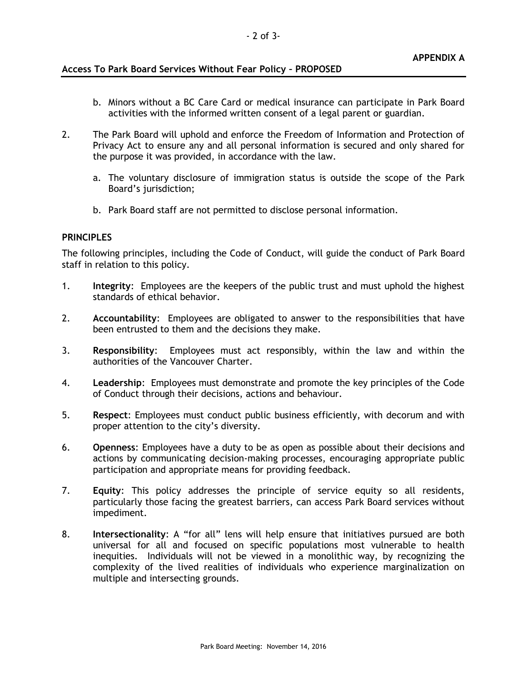# **Access To Park Board Services Without Fear Policy – PROPOSED**

- b. Minors without a BC Care Card or medical insurance can participate in Park Board activities with the informed written consent of a legal parent or guardian.
- 2. The Park Board will uphold and enforce the Freedom of Information and Protection of Privacy Act to ensure any and all personal information is secured and only shared for the purpose it was provided, in accordance with the law.
	- a. The voluntary disclosure of immigration status is outside the scope of the Park Board's jurisdiction;
	- b. Park Board staff are not permitted to disclose personal information.

## **PRINCIPLES**

The following principles, including the Code of Conduct, will guide the conduct of Park Board staff in relation to this policy.

- 1. **Integrity**: Employees are the keepers of the public trust and must uphold the highest standards of ethical behavior.
- 2. **Accountability**: Employees are obligated to answer to the responsibilities that have been entrusted to them and the decisions they make.
- 3. **Responsibility**: Employees must act responsibly, within the law and within the authorities of the Vancouver Charter.
- 4. **Leadership**: Employees must demonstrate and promote the key principles of the Code of Conduct through their decisions, actions and behaviour.
- 5. **Respect**: Employees must conduct public business efficiently, with decorum and with proper attention to the city's diversity.
- 6. **Openness**: Employees have a duty to be as open as possible about their decisions and actions by communicating decision-making processes, encouraging appropriate public participation and appropriate means for providing feedback.
- 7. **Equity**: This policy addresses the principle of service equity so all residents, particularly those facing the greatest barriers, can access Park Board services without impediment.
- 8. **Intersectionality**: A "for all" lens will help ensure that initiatives pursued are both universal for all and focused on specific populations most vulnerable to health inequities. Individuals will not be viewed in a monolithic way, by recognizing the complexity of the lived realities of individuals who experience marginalization on multiple and intersecting grounds.